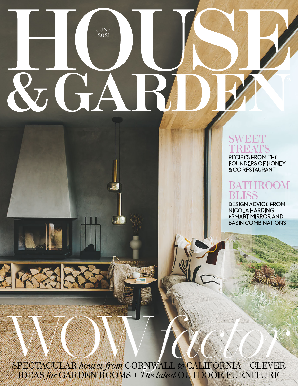# JUNE 2021  $\&$  GAT

## SWEET REATS

RECIPES FROM THE FOUNDERS OF HONEY & CO RESTAURANT

## BATHROOM **JSS**

DESIGN ADVICE FROM NICOLA HARDING + SMART MIRROR AND BASIN COMBINATIONS

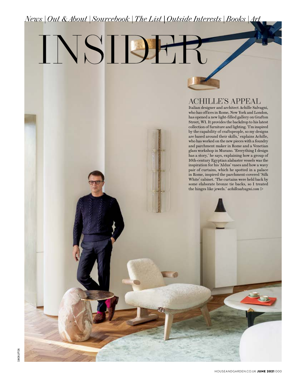## *News | Out* & *About | Sourcebook | The List | Outside Interests | Books | Art*

INSIDER

#### ACHILLE'S APPEAL

Italian designer and architect Achille Salvagni, who has offices in Rome, New York and London, has opened a new light-filled gallery on Grafton Street, W1. It provides the backdrop to his latest collection of furniture and lighting. 'I'm inspired by the capability of craftspeople, so my designs are based around their skills,' explains Achille, who has worked on the new pieces with a foundry and parchment maker in Rome and a Venetian glass workshop in Murano. 'Everything I design has a story,' he says, explaining how a group of 16th-century Egyptian alabaster vessels was the inspiration for his 'Aldus' vases and how a wavy pair of curtains, which he spotted in a palace in Rome, inspired the parchment-covered 'Silk White' cabinet. 'The curtains were held back by some elaborate bronze tie backs, so I treated the hinges like jewels.' *achillesalvagni.com*  $\triangleright$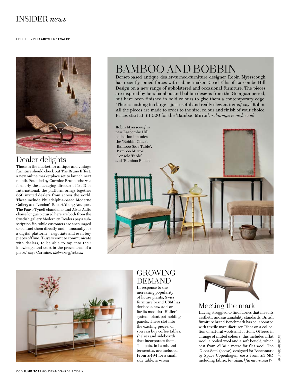#### INSIDER *news*

#### EDITED BY ELIZABETH METCALFE



#### Dealer delights

Those in the market for antique and vintage furniture should check out The Bruno Effect, a new online marketplace set to launch next month. Founded by Carmine Bruno, who was formerly the managing director of 1st Dibs International, the platform brings together 650 invited dealers from across the world. These include Philadelphia-based Moderne Gallery and London's Robert Young Antiques. The Paavo Tynell chandelier and Alvar Aalto chaise longue pictured here are both from the Swedish gallery Modernity. Dealers pay a subscription fee, while customers are encouraged to contact them directly and – unusually for a digital platform – negotiate and even buy pieces offline. 'Buyers want to communicate with dealers, to be able to tap into their knowledge and trust in the provenance of a piece,' says Carmine. *thebrunoeffect.com*

## BAMBOO AND BOBBIN

Dorset-based antique dealer-turned-furniture designer Robin Myerscough has recently joined forces with cabinetmaker David Ellis of Lascombe Hill Design on a new range of upholstered and occasional furniture. The pieces are inspired by faux bamboo and bobbin designs from the Georgian period, but have been finished in bold colours to give them a contemporary edge. 'There's nothing too large – just useful and really elegant items,' says Robin. All the pieces are made to order to the size, colour and finish of your choice. Prices start at £1,020 for the 'Bamboo Mirror'. *robinmyerscough.co.uk*





### GROWING DEMAND

In response to the increasing popularity of house plants, Swiss furniture brand USM has devised a new add-on for its modular 'Haller' system: plant pot-holding panels. These slot into the existing pieces, or you can buy coffee tables, shelves and sideboards that incorporate them. The pots, in basalt and terracotta, are included. From £494 for a small side table. *usm.com*



Having struggled to find fabrics that meet its aesthetic and sustainability standards, British furniture brand Benchmark has collaborated with textile manufacturer Tibor on a collection of natural wools and cottons. Offered in a range of muted colours, this includes a flat wool, a boiled wool and a soft bouclé, which cost from £135 a metre for flat wool. The 'Gleda Sofa' (above), designed for Benchmark by Space Copenhagen, costs from £3,595 including fabric. *benchmarkfurniture.com*  $\triangleright$